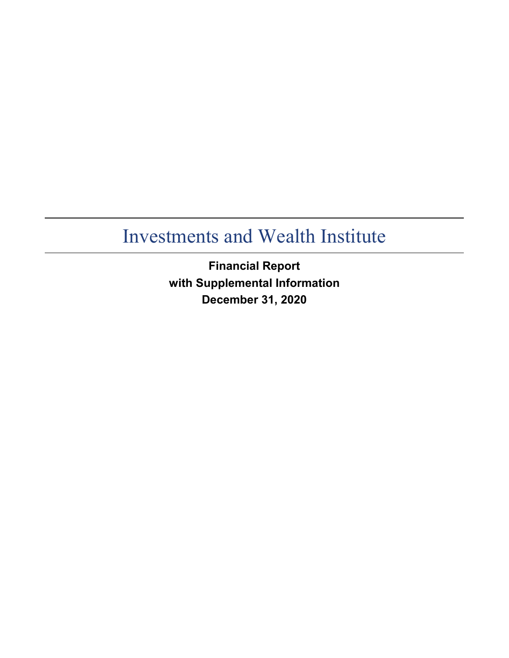**Financial Report with Supplemental Information December 31, 2020**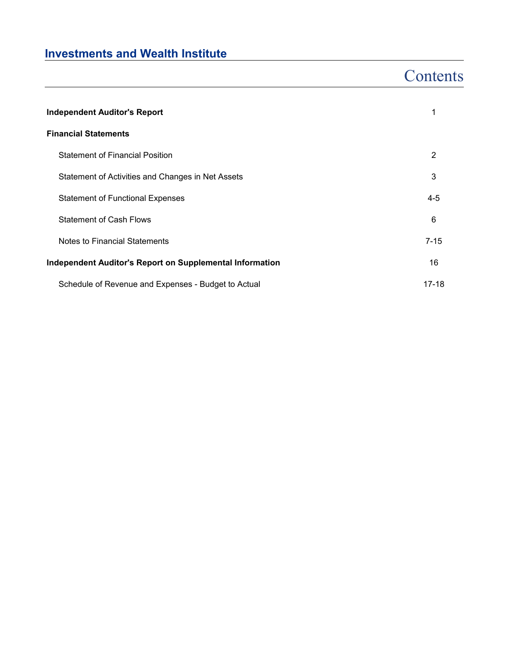## **Contents**

| <b>Independent Auditor's Report</b>                             |          |  |  |  |  |
|-----------------------------------------------------------------|----------|--|--|--|--|
| <b>Financial Statements</b>                                     |          |  |  |  |  |
| <b>Statement of Financial Position</b>                          | 2        |  |  |  |  |
| Statement of Activities and Changes in Net Assets               | 3        |  |  |  |  |
| <b>Statement of Functional Expenses</b>                         | $4 - 5$  |  |  |  |  |
| <b>Statement of Cash Flows</b>                                  | 6        |  |  |  |  |
| Notes to Financial Statements                                   | $7 - 15$ |  |  |  |  |
| <b>Independent Auditor's Report on Supplemental Information</b> |          |  |  |  |  |
| Schedule of Revenue and Expenses - Budget to Actual             | 17-18    |  |  |  |  |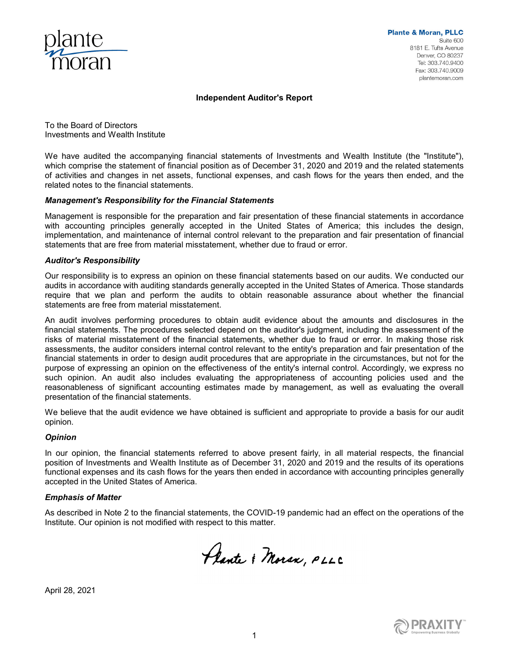

#### **Independent Auditor's Report**

To the Board of Directors Investments and Wealth Institute

We have audited the accompanying financial statements of Investments and Wealth Institute (the "Institute"), which comprise the statement of financial position as of December 31, 2020 and 2019 and the related statements of activities and changes in net assets, functional expenses, and cash flows for the years then ended, and the related notes to the financial statements.

#### *Management's Responsibility for the Financial Statements*

Management is responsible for the preparation and fair presentation of these financial statements in accordance with accounting principles generally accepted in the United States of America; this includes the design, implementation, and maintenance of internal control relevant to the preparation and fair presentation of financial statements that are free from material misstatement, whether due to fraud or error.

#### *Auditor's Responsibility*

Our responsibility is to express an opinion on these financial statements based on our audits. We conducted our audits in accordance with auditing standards generally accepted in the United States of America. Those standards require that we plan and perform the audits to obtain reasonable assurance about whether the financial statements are free from material misstatement.

An audit involves performing procedures to obtain audit evidence about the amounts and disclosures in the financial statements. The procedures selected depend on the auditor's judgment, including the assessment of the risks of material misstatement of the financial statements, whether due to fraud or error. In making those risk assessments, the auditor considers internal control relevant to the entity's preparation and fair presentation of the financial statements in order to design audit procedures that are appropriate in the circumstances, but not for the purpose of expressing an opinion on the effectiveness of the entity's internal control. Accordingly, we express no such opinion. An audit also includes evaluating the appropriateness of accounting policies used and the reasonableness of significant accounting estimates made by management, as well as evaluating the overall presentation of the financial statements.

We believe that the audit evidence we have obtained is sufficient and appropriate to provide a basis for our audit opinion.

#### *Opinion*

In our opinion, the financial statements referred to above present fairly, in all material respects, the financial position of Investments and Wealth Institute as of December 31, 2020 and 2019 and the results of its operations functional expenses and its cash flows for the years then ended in accordance with accounting principles generally accepted in the United States of America.

#### *Emphasis of Matter*

As described in Note 2 to the financial statements, the COVID-19 pandemic had an effect on the operations of the Institute. Our opinion is not modified with respect to this matter.

Plante & Moran, PLLC

April 28, 2021

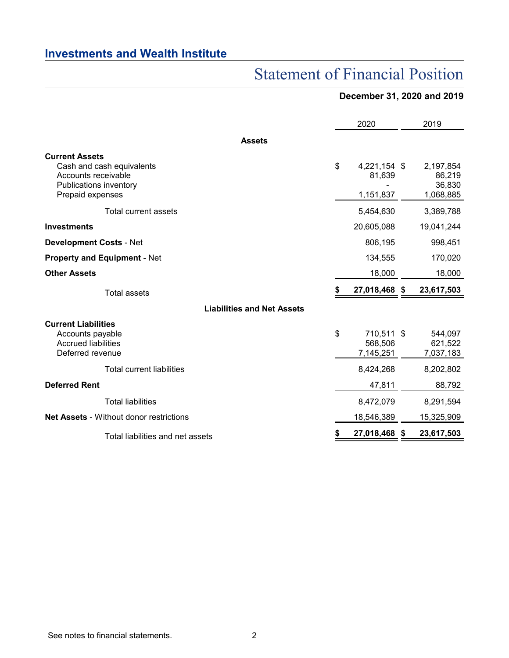# Statement of Financial Position

### **December 31, 2020 and 2019**

|                                                                                                                         | 2020                                      | 2019 |                                            |  |
|-------------------------------------------------------------------------------------------------------------------------|-------------------------------------------|------|--------------------------------------------|--|
| <b>Assets</b>                                                                                                           |                                           |      |                                            |  |
| <b>Current Assets</b><br>Cash and cash equivalents<br>Accounts receivable<br>Publications inventory<br>Prepaid expenses | \$<br>4,221,154 \$<br>81,639<br>1,151,837 |      | 2,197,854<br>86,219<br>36,830<br>1,068,885 |  |
| Total current assets                                                                                                    | 5,454,630                                 |      | 3,389,788                                  |  |
| <b>Investments</b>                                                                                                      | 20,605,088                                |      | 19,041,244                                 |  |
| <b>Development Costs - Net</b>                                                                                          | 806,195                                   |      | 998,451                                    |  |
| <b>Property and Equipment - Net</b>                                                                                     | 134,555                                   |      | 170,020                                    |  |
| <b>Other Assets</b>                                                                                                     | 18,000                                    |      | 18,000                                     |  |
|                                                                                                                         | 27,018,468 \$                             |      |                                            |  |
| <b>Total assets</b>                                                                                                     | \$                                        |      | 23,617,503                                 |  |
| <b>Liabilities and Net Assets</b>                                                                                       |                                           |      |                                            |  |
| <b>Current Liabilities</b><br>Accounts payable<br><b>Accrued liabilities</b><br>Deferred revenue                        | \$<br>710,511 \$<br>568,506<br>7,145,251  |      | 544,097<br>621,522<br>7,037,183            |  |
| <b>Total current liabilities</b>                                                                                        | 8,424,268                                 |      | 8,202,802                                  |  |
| <b>Deferred Rent</b>                                                                                                    | 47,811                                    |      | 88,792                                     |  |
| <b>Total liabilities</b>                                                                                                | 8,472,079                                 |      | 8,291,594                                  |  |
| <b>Net Assets - Without donor restrictions</b>                                                                          | 18,546,389                                |      | 15,325,909                                 |  |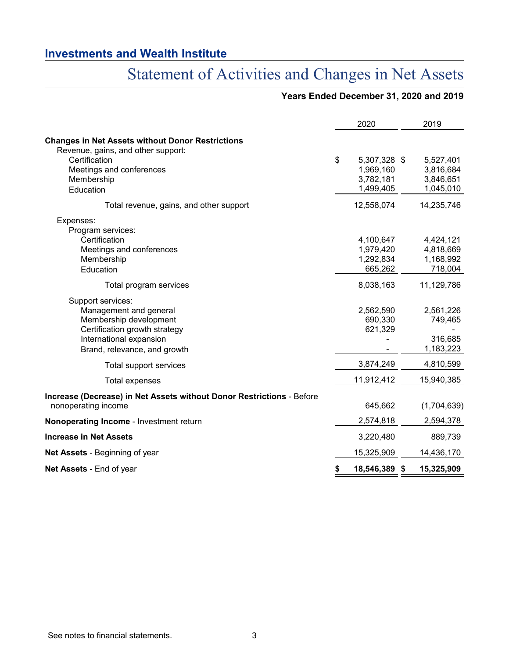# Statement of Activities and Changes in Net Assets

### **Years Ended December 31, 2020 and 2019**

|                                                                                                                                                                   | 2020                                           | 2019                                           |
|-------------------------------------------------------------------------------------------------------------------------------------------------------------------|------------------------------------------------|------------------------------------------------|
| <b>Changes in Net Assets without Donor Restrictions</b><br>Revenue, gains, and other support:<br>Certification                                                    | \$                                             |                                                |
| Meetings and conferences<br>Membership                                                                                                                            | 5,307,328 \$<br>1,969,160<br>3,782,181         | 5,527,401<br>3,816,684<br>3,846,651            |
| Education                                                                                                                                                         | 1,499,405                                      | 1,045,010                                      |
| Total revenue, gains, and other support                                                                                                                           | 12,558,074                                     | 14,235,746                                     |
| Expenses:<br>Program services:                                                                                                                                    |                                                |                                                |
| Certification<br>Meetings and conferences<br>Membership<br>Education                                                                                              | 4,100,647<br>1,979,420<br>1,292,834<br>665,262 | 4,424,121<br>4,818,669<br>1,168,992<br>718,004 |
| Total program services                                                                                                                                            | 8,038,163                                      | 11,129,786                                     |
| Support services:<br>Management and general<br>Membership development<br>Certification growth strategy<br>International expansion<br>Brand, relevance, and growth | 2,562,590<br>690,330<br>621,329                | 2,561,226<br>749,465<br>316,685<br>1,183,223   |
| Total support services                                                                                                                                            | 3,874,249                                      | 4,810,599                                      |
| <b>Total expenses</b>                                                                                                                                             | 11,912,412                                     | 15,940,385                                     |
| Increase (Decrease) in Net Assets without Donor Restrictions - Before<br>nonoperating income                                                                      | 645,662                                        | (1,704,639)                                    |
| Nonoperating Income - Investment return                                                                                                                           | 2,574,818                                      | 2,594,378                                      |
| <b>Increase in Net Assets</b>                                                                                                                                     | 3,220,480                                      | 889,739                                        |
| Net Assets - Beginning of year                                                                                                                                    | 15,325,909                                     | 14,436,170                                     |
| Net Assets - End of year                                                                                                                                          | \$<br>18,546,389 \$                            | 15,325,909                                     |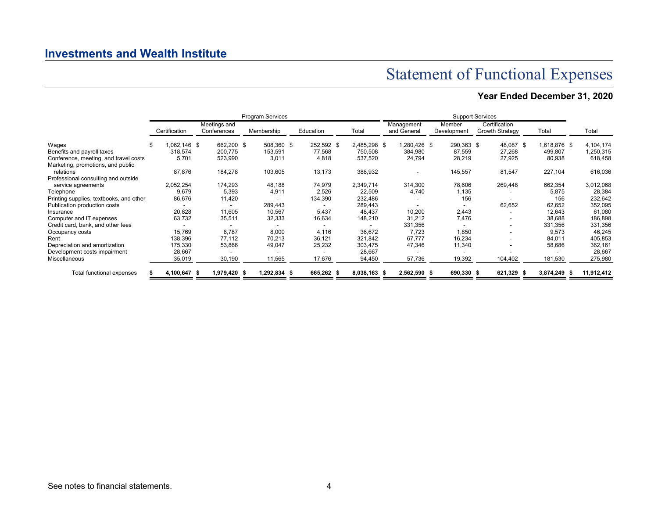## Statement of Functional Expenses

|                                         |                                |                             | <b>Program Services</b> |                      |                         | <b>Support Services</b> |                           |  |                          |                                         |  |                         |                        |
|-----------------------------------------|--------------------------------|-----------------------------|-------------------------|----------------------|-------------------------|-------------------------|---------------------------|--|--------------------------|-----------------------------------------|--|-------------------------|------------------------|
|                                         | Certification                  | Meetings and<br>Conferences | Membership              | Education            | Total                   |                         | Management<br>and General |  | Member<br>Development    | Certification<br><b>Growth Strategy</b> |  | Total                   | Total                  |
| Wages<br>Benefits and payroll taxes     | \$<br>$,062,146$ \$<br>318,574 | 662,200 \$<br>200,775       | 508,360 \$<br>153,591   | 252,592 \$<br>77,568 | 2,485,298 \$<br>750,508 |                         | 1,280,426 \$<br>384,980   |  | 290,363 \$<br>87,559     | 48,087 \$<br>27,268                     |  | 1,618,876 \$<br>499,807 | 4,104,174<br>1,250,315 |
| Conference, meeting, and travel costs   | 5,701                          | 523,990                     | 3,011                   | 4,818                | 537,520                 |                         | 24,794                    |  | 28,219                   | 27,925                                  |  | 80,938                  | 618,458                |
| Marketing, promotions, and public       |                                |                             |                         |                      |                         |                         |                           |  |                          |                                         |  |                         |                        |
| relations                               | 87,876                         | 184,278                     | 103,605                 | 13,173               | 388,932                 |                         |                           |  | 145,557                  | 81,547                                  |  | 227,104                 | 616,036                |
| Professional consulting and outside     |                                |                             |                         |                      |                         |                         |                           |  |                          |                                         |  |                         |                        |
| service agreements                      | 2,052,254                      | 174,293                     | 48,188                  | 74,979               | 2,349,714               |                         | 314,300                   |  | 78,606                   | 269,448                                 |  | 662,354                 | 3,012,068              |
| Telephone                               | 9,679                          | 5,393                       | 4,911                   | 2,526                | 22,509                  |                         | 4,740                     |  | 1,135                    |                                         |  | 5,875                   | 28,384                 |
| Printing supplies, textbooks, and other | 86,676                         | 11,420                      |                         | 134,390              | 232,486                 |                         |                           |  | 156                      |                                         |  | 156                     | 232,642                |
| Publication production costs            |                                |                             | 289,443                 |                      | 289,443                 |                         |                           |  | $\overline{\phantom{a}}$ | 62,652                                  |  | 62,652                  | 352,095                |
| Insurance                               | 20,828                         | 11,605                      | 10,567                  | 5,437                | 48,437                  |                         | 10,200                    |  | 2,443                    |                                         |  | 12,643                  | 61,080                 |
| Computer and IT expenses                | 63,732                         | 35,511                      | 32,333                  | 16,634               | 148,210                 |                         | 31,212                    |  | 7,476                    |                                         |  | 38,688                  | 186,898                |
| Credit card, bank, and other fees       |                                |                             |                         |                      |                         |                         | 331,356                   |  |                          | ٠                                       |  | 331,356                 | 331,356                |
| Occupancy costs                         | 15,769                         | 8,787                       | 8,000                   | 4,116                | 36,672                  |                         | 7,723                     |  | 1,850                    |                                         |  | 9,573                   | 46,245                 |
| Rent                                    | 138,396                        | 77.112                      | 70,213                  | 36,121               | 321,842                 |                         | 67,777                    |  | 16,234                   |                                         |  | 84,011                  | 405,853                |
| Depreciation and amortization           | 175,330                        | 53,866                      | 49,047                  | 25,232               | 303,475                 |                         | 47,346                    |  | 11,340                   |                                         |  | 58,686                  | 362,161                |
| Development costs impairment            | 28,667                         |                             |                         |                      | 28,667                  |                         |                           |  |                          |                                         |  |                         | 28,667                 |
| Miscellaneous                           | 35,019                         | 30,190                      | 11,565                  | 17,676               | 94,450                  |                         | 57,736                    |  | 19,392                   | 104,402                                 |  | 181,530                 | 275,980                |
| Total functional expenses               | 4.100.647 \$                   | 1,979,420 \$                | 1,292,834 \$            | 665,262 \$           | 8,038,163 \$            |                         | 2,562,590 \$              |  | 690,330 \$               | 621,329<br>- 55                         |  | 3,874,249<br>-56        | 11,912,412             |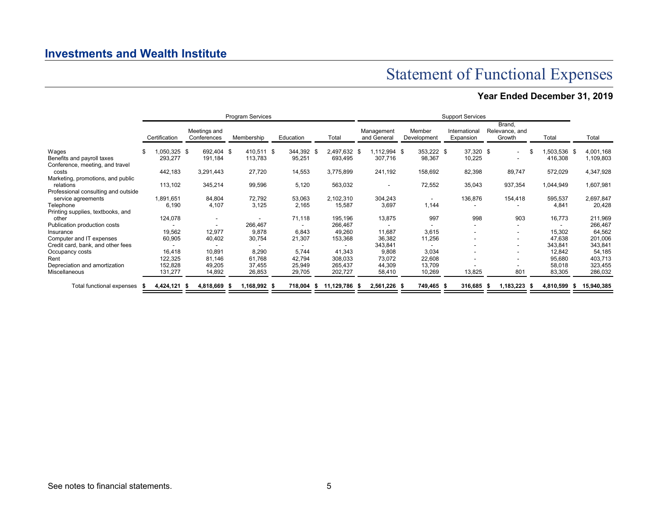## Statement of Functional Expenses

|                                                                        |                               |                             | Program Services      |                      |                         |                           |                       |                            |                                    |                         |                        |
|------------------------------------------------------------------------|-------------------------------|-----------------------------|-----------------------|----------------------|-------------------------|---------------------------|-----------------------|----------------------------|------------------------------------|-------------------------|------------------------|
|                                                                        | Certification                 | Meetings and<br>Conferences | Membership            | Education            | Total                   | Management<br>and General | Member<br>Development | International<br>Expansion | Brand,<br>Relevance, and<br>Growth | Total                   | Total                  |
| Wages<br>Benefits and payroll taxes<br>Conference, meeting, and travel | $050,325$ \$<br>\$<br>293,277 | 692,404 \$<br>191,184       | 410,511 \$<br>113,783 | 344,392 \$<br>95,251 | 2,497,632 \$<br>693,495 | 1,112,994 \$<br>307,716   | 353,222 \$<br>98,367  | 37,320 \$<br>10,225        | $\sim$                             | 1,503,536 \$<br>416,308 | 4,001,168<br>1,109,803 |
| costs<br>Marketing, promotions, and public                             | 442,183                       | 3,291,443                   | 27,720                | 14,553               | 3,775,899               | 241,192                   | 158,692               | 82,398                     | 89,747                             | 572,029                 | 4,347,928              |
| relations<br>Professional consulting and outside                       | 113,102                       | 345,214                     | 99,596                | 5,120                | 563,032                 |                           | 72,552                | 35,043                     | 937,354                            | 1,044,949               | 1,607,981              |
| service agreements<br>Telephone                                        | 1,891,651<br>6,190            | 84,804<br>4,107             | 72,792<br>3,125       | 53,063<br>2,165      | 2,102,310<br>15,587     | 304,243<br>3,697          | 1,144                 | 136,876                    | 154,418                            | 595,537<br>4,841        | 2,697,847<br>20,428    |
| Printing supplies, textbooks, and                                      |                               |                             |                       |                      |                         |                           |                       |                            |                                    |                         |                        |
| other<br>Publication production costs                                  | 124,078                       | $\overline{\phantom{a}}$    | 266,467               | 71,118               | 195,196<br>266,467      | 13,875                    | 997                   | 998                        | 903                                | 16,773                  | 211,969<br>266,467     |
| Insurance<br>Computer and IT expenses                                  | 19,562<br>60,905              | 12,977<br>40,402            | 9,878<br>30,754       | 6,843<br>21,307      | 49,260<br>153,368       | 11,687<br>36,382          | 3,615<br>11,256       |                            | $\overline{\phantom{a}}$           | 15,302<br>47,638        | 64,562<br>201,006      |
| Credit card, bank, and other fees<br>Occupancy costs                   | 16,418                        | 10,891                      | 8,290                 | 5,744                | 41,343                  | 343,841<br>9,808          | 3,034                 |                            |                                    | 343,841<br>12,842       | 343,841<br>54,185      |
| Rent<br>Depreciation and amortization                                  | 122,325<br>152,828            | 81,146<br>49,205            | 61,768<br>37,455      | 42,794<br>25,949     | 308,033<br>265,437      | 73,072<br>44,309          | 22,608<br>13,709      |                            |                                    | 95,680<br>58,018        | 403,713<br>323,455     |
| Miscellaneous                                                          | 131,277                       | 14,892                      | 26,853                | 29,705               | 202,727                 | 58,410                    | 10,269                | 13,825                     | 801                                | 83,305                  | 286,032                |
| Total functional expenses                                              | 4,424,121                     | 4,818,669 \$<br>- 56        | 1,168,992 \$          | 718,004 \$           | 11,129,786              | 2,561,226 \$              | 749,465 \$            | 316,685                    | 1,183,223 \$                       | 4,810,599<br>- 56       | 15,940,385             |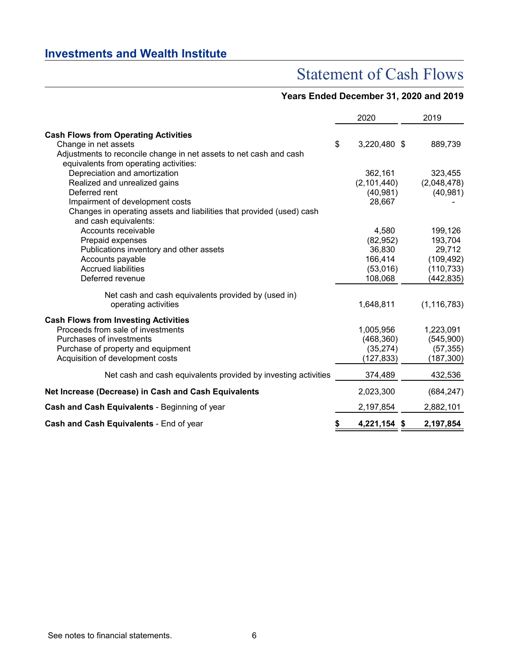## Statement of Cash Flows

### **Years Ended December 31, 2020 and 2019**

|                                                                       | 2020               | 2019          |
|-----------------------------------------------------------------------|--------------------|---------------|
| <b>Cash Flows from Operating Activities</b>                           |                    |               |
| Change in net assets                                                  | \$<br>3,220,480 \$ | 889,739       |
| Adjustments to reconcile change in net assets to net cash and cash    |                    |               |
| equivalents from operating activities:                                |                    |               |
| Depreciation and amortization                                         | 362,161            | 323,455       |
| Realized and unrealized gains                                         | (2,101,440)        | (2,048,478)   |
| Deferred rent                                                         | (40, 981)          | (40, 981)     |
| Impairment of development costs                                       | 28,667             |               |
| Changes in operating assets and liabilities that provided (used) cash |                    |               |
| and cash equivalents:                                                 |                    |               |
| Accounts receivable                                                   | 4,580              | 199,126       |
| Prepaid expenses                                                      | (82, 952)          | 193,704       |
| Publications inventory and other assets                               | 36,830             | 29,712        |
| Accounts payable                                                      | 166,414            | (109, 492)    |
| <b>Accrued liabilities</b>                                            | (53,016)           | (110, 733)    |
| Deferred revenue                                                      | 108,068            | (442,835)     |
| Net cash and cash equivalents provided by (used in)                   |                    |               |
| operating activities                                                  | 1,648,811          | (1, 116, 783) |
| <b>Cash Flows from Investing Activities</b>                           |                    |               |
| Proceeds from sale of investments                                     | 1,005,956          | 1,223,091     |
| Purchases of investments                                              | (468, 360)         | (545,900)     |
| Purchase of property and equipment                                    | (35, 274)          | (57, 355)     |
| Acquisition of development costs                                      | (127, 833)         | (187, 300)    |
| Net cash and cash equivalents provided by investing activities        | 374,489            | 432,536       |
| Net Increase (Decrease) in Cash and Cash Equivalents                  | 2,023,300          | (684, 247)    |
| Cash and Cash Equivalents - Beginning of year                         | 2,197,854          | 2,882,101     |
| Cash and Cash Equivalents - End of year                               | \$<br>4,221,154 \$ | 2,197,854     |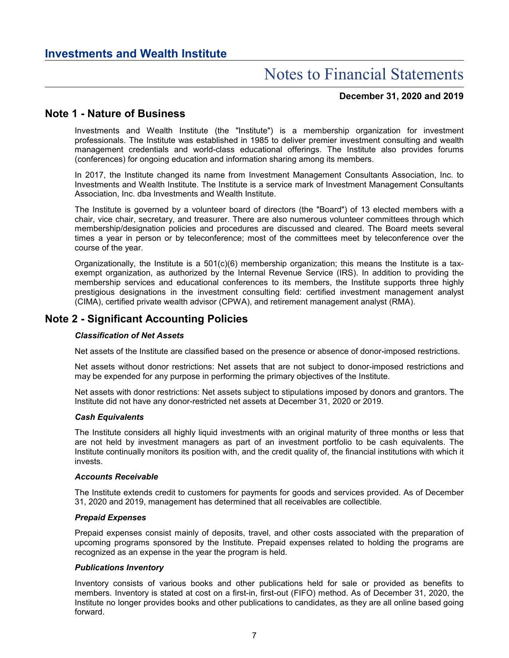#### **December 31, 2020 and 2019**

### **Note 1 - Nature of Business**

Investments and Wealth Institute (the "Institute") is a membership organization for investment professionals. The Institute was established in 1985 to deliver premier investment consulting and wealth management credentials and world-class educational offerings. The Institute also provides forums (conferences) for ongoing education and information sharing among its members.

In 2017, the Institute changed its name from Investment Management Consultants Association, Inc. to Investments and Wealth Institute. The Institute is a service mark of Investment Management Consultants Association, Inc. dba Investments and Wealth Institute.

The Institute is governed by a volunteer board of directors (the "Board") of 13 elected members with a chair, vice chair, secretary, and treasurer. There are also numerous volunteer committees through which membership/designation policies and procedures are discussed and cleared. The Board meets several times a year in person or by teleconference; most of the committees meet by teleconference over the course of the year.

Organizationally, the Institute is a 501(c)(6) membership organization; this means the Institute is a taxexempt organization, as authorized by the Internal Revenue Service (IRS). In addition to providing the membership services and educational conferences to its members, the Institute supports three highly prestigious designations in the investment consulting field: certified investment management analyst (CIMA), certified private wealth advisor (CPWA), and retirement management analyst (RMA).

### **Note 2 - Significant Accounting Policies**

#### *Classification of Net Assets*

Net assets of the Institute are classified based on the presence or absence of donor-imposed restrictions.

Net assets without donor restrictions: Net assets that are not subject to donor-imposed restrictions and may be expended for any purpose in performing the primary objectives of the Institute.

Net assets with donor restrictions: Net assets subject to stipulations imposed by donors and grantors. The Institute did not have any donor-restricted net assets at December 31, 2020 or 2019.

#### *Cash Equivalents*

The Institute considers all highly liquid investments with an original maturity of three months or less that are not held by investment managers as part of an investment portfolio to be cash equivalents. The Institute continually monitors its position with, and the credit quality of, the financial institutions with which it invests.

#### *Accounts Receivable*

The Institute extends credit to customers for payments for goods and services provided. As of December 31, 2020 and 2019, management has determined that all receivables are collectible.

#### *Prepaid Expenses*

Prepaid expenses consist mainly of deposits, travel, and other costs associated with the preparation of upcoming programs sponsored by the Institute. Prepaid expenses related to holding the programs are recognized as an expense in the year the program is held.

#### *Publications Inventory*

Inventory consists of various books and other publications held for sale or provided as benefits to members. Inventory is stated at cost on a first-in, first-out (FIFO) method. As of December 31, 2020, the Institute no longer provides books and other publications to candidates, as they are all online based going forward.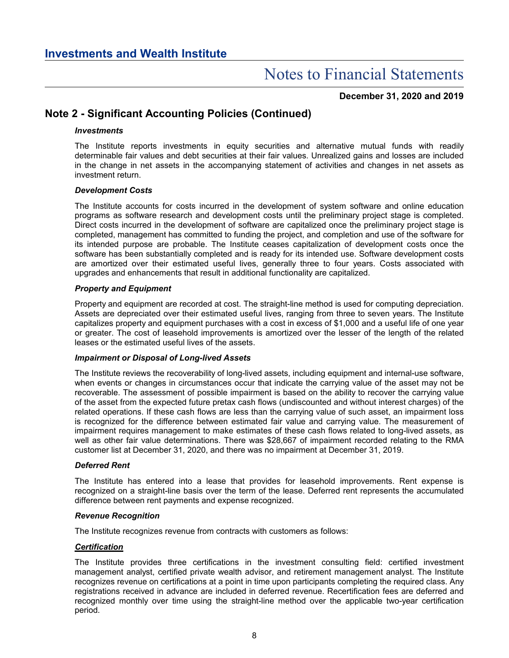**December 31, 2020 and 2019**

## **Note 2 - Significant Accounting Policies (Continued)**

#### *Investments*

The Institute reports investments in equity securities and alternative mutual funds with readily determinable fair values and debt securities at their fair values. Unrealized gains and losses are included in the change in net assets in the accompanying statement of activities and changes in net assets as investment return.

#### *Development Costs*

The Institute accounts for costs incurred in the development of system software and online education programs as software research and development costs until the preliminary project stage is completed. Direct costs incurred in the development of software are capitalized once the preliminary project stage is completed, management has committed to funding the project, and completion and use of the software for its intended purpose are probable. The Institute ceases capitalization of development costs once the software has been substantially completed and is ready for its intended use. Software development costs are amortized over their estimated useful lives, generally three to four years. Costs associated with upgrades and enhancements that result in additional functionality are capitalized.

#### *Property and Equipment*

Property and equipment are recorded at cost. The straight-line method is used for computing depreciation. Assets are depreciated over their estimated useful lives, ranging from three to seven years. The Institute capitalizes property and equipment purchases with a cost in excess of \$1,000 and a useful life of one year or greater. The cost of leasehold improvements is amortized over the lesser of the length of the related leases or the estimated useful lives of the assets.

#### *Impairment or Disposal of Long-lived Assets*

The Institute reviews the recoverability of long-lived assets, including equipment and internal-use software, when events or changes in circumstances occur that indicate the carrying value of the asset may not be recoverable. The assessment of possible impairment is based on the ability to recover the carrying value of the asset from the expected future pretax cash flows (undiscounted and without interest charges) of the related operations. If these cash flows are less than the carrying value of such asset, an impairment loss is recognized for the difference between estimated fair value and carrying value. The measurement of impairment requires management to make estimates of these cash flows related to long-lived assets, as well as other fair value determinations. There was \$28,667 of impairment recorded relating to the RMA customer list at December 31, 2020, and there was no impairment at December 31, 2019.

#### *Deferred Rent*

The Institute has entered into a lease that provides for leasehold improvements. Rent expense is recognized on a straight-line basis over the term of the lease. Deferred rent represents the accumulated difference between rent payments and expense recognized.

#### *Revenue Recognition*

The Institute recognizes revenue from contracts with customers as follows:

#### *Certification*

The Institute provides three certifications in the investment consulting field: certified investment management analyst, certified private wealth advisor, and retirement management analyst. The Institute recognizes revenue on certifications at a point in time upon participants completing the required class. Any registrations received in advance are included in deferred revenue. Recertification fees are deferred and recognized monthly over time using the straight-line method over the applicable two-year certification period.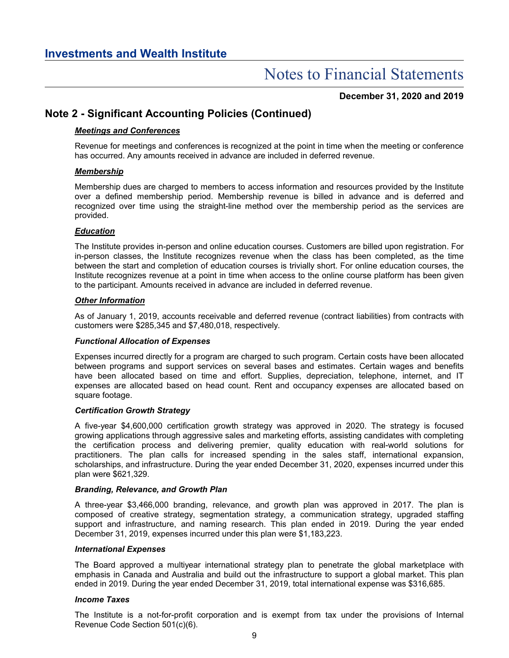**December 31, 2020 and 2019**

### **Note 2 - Significant Accounting Policies (Continued)**

#### *Meetings and Conferences*

Revenue for meetings and conferences is recognized at the point in time when the meeting or conference has occurred. Any amounts received in advance are included in deferred revenue.

#### *Membership*

Membership dues are charged to members to access information and resources provided by the Institute over a defined membership period. Membership revenue is billed in advance and is deferred and recognized over time using the straight-line method over the membership period as the services are provided.

#### *Education*

The Institute provides in-person and online education courses. Customers are billed upon registration. For in-person classes, the Institute recognizes revenue when the class has been completed, as the time between the start and completion of education courses is trivially short. For online education courses, the Institute recognizes revenue at a point in time when access to the online course platform has been given to the participant. Amounts received in advance are included in deferred revenue.

#### *Other Information*

As of January 1, 2019, accounts receivable and deferred revenue (contract liabilities) from contracts with customers were \$285,345 and \$7,480,018, respectively.

#### *Functional Allocation of Expenses*

Expenses incurred directly for a program are charged to such program. Certain costs have been allocated between programs and support services on several bases and estimates. Certain wages and benefits have been allocated based on time and effort. Supplies, depreciation, telephone, internet, and IT expenses are allocated based on head count. Rent and occupancy expenses are allocated based on square footage.

#### *Certification Growth Strategy*

A five-year \$4,600,000 certification growth strategy was approved in 2020. The strategy is focused growing applications through aggressive sales and marketing efforts, assisting candidates with completing the certification process and delivering premier, quality education with real-world solutions for practitioners. The plan calls for increased spending in the sales staff, international expansion, scholarships, and infrastructure. During the year ended December 31, 2020, expenses incurred under this plan were \$621,329.

#### *Branding, Relevance, and Growth Plan*

A three-year \$3,466,000 branding, relevance, and growth plan was approved in 2017. The plan is composed of creative strategy, segmentation strategy, a communication strategy, upgraded staffing support and infrastructure, and naming research. This plan ended in 2019. During the year ended December 31, 2019, expenses incurred under this plan were \$1,183,223.

#### *International Expenses*

The Board approved a multiyear international strategy plan to penetrate the global marketplace with emphasis in Canada and Australia and build out the infrastructure to support a global market. This plan ended in 2019. During the year ended December 31, 2019, total international expense was \$316,685.

#### *Income Taxes*

The Institute is a not-for-profit corporation and is exempt from tax under the provisions of Internal Revenue Code Section 501(c)(6).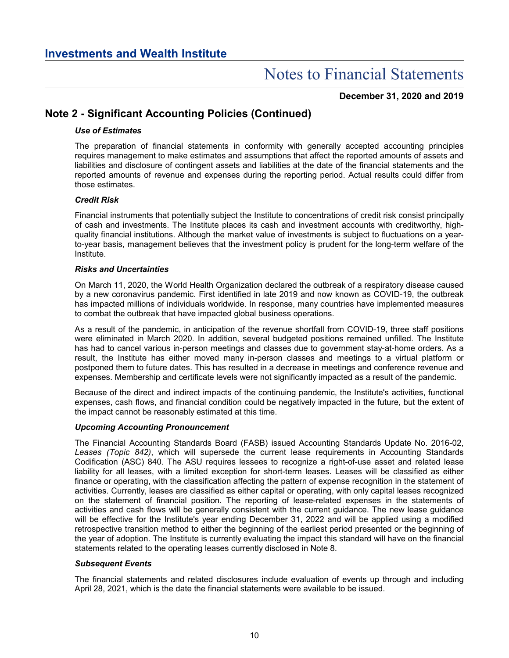**December 31, 2020 and 2019**

### **Note 2 - Significant Accounting Policies (Continued)**

#### *Use of Estimates*

The preparation of financial statements in conformity with generally accepted accounting principles requires management to make estimates and assumptions that affect the reported amounts of assets and liabilities and disclosure of contingent assets and liabilities at the date of the financial statements and the reported amounts of revenue and expenses during the reporting period. Actual results could differ from those estimates.

#### *Credit Risk*

Financial instruments that potentially subject the Institute to concentrations of credit risk consist principally of cash and investments. The Institute places its cash and investment accounts with creditworthy, highquality financial institutions. Although the market value of investments is subject to fluctuations on a yearto-year basis, management believes that the investment policy is prudent for the long-term welfare of the Institute.

#### *Risks and Uncertainties*

On March 11, 2020, the World Health Organization declared the outbreak of a respiratory disease caused by a new coronavirus pandemic. First identified in late 2019 and now known as COVID-19, the outbreak has impacted millions of individuals worldwide. In response, many countries have implemented measures to combat the outbreak that have impacted global business operations.

As a result of the pandemic, in anticipation of the revenue shortfall from COVID-19, three staff positions were eliminated in March 2020. In addition, several budgeted positions remained unfilled. The Institute has had to cancel various in-person meetings and classes due to government stay-at-home orders. As a result, the Institute has either moved many in-person classes and meetings to a virtual platform or postponed them to future dates. This has resulted in a decrease in meetings and conference revenue and expenses. Membership and certificate levels were not significantly impacted as a result of the pandemic.

Because of the direct and indirect impacts of the continuing pandemic, the Institute's activities, functional expenses, cash flows, and financial condition could be negatively impacted in the future, but the extent of the impact cannot be reasonably estimated at this time.

#### *Upcoming Accounting Pronouncement*

The Financial Accounting Standards Board (FASB) issued Accounting Standards Update No. 2016-02, *Leases (Topic 842)*, which will supersede the current lease requirements in Accounting Standards Codification (ASC) 840. The ASU requires lessees to recognize a right-of-use asset and related lease liability for all leases, with a limited exception for short-term leases. Leases will be classified as either finance or operating, with the classification affecting the pattern of expense recognition in the statement of activities. Currently, leases are classified as either capital or operating, with only capital leases recognized on the statement of financial position. The reporting of lease-related expenses in the statements of activities and cash flows will be generally consistent with the current guidance. The new lease guidance will be effective for the Institute's year ending December 31, 2022 and will be applied using a modified retrospective transition method to either the beginning of the earliest period presented or the beginning of the year of adoption. The Institute is currently evaluating the impact this standard will have on the financial statements related to the operating leases currently disclosed in Note 8.

#### *Subsequent Events*

The financial statements and related disclosures include evaluation of events up through and including April 28, 2021, which is the date the financial statements were available to be issued.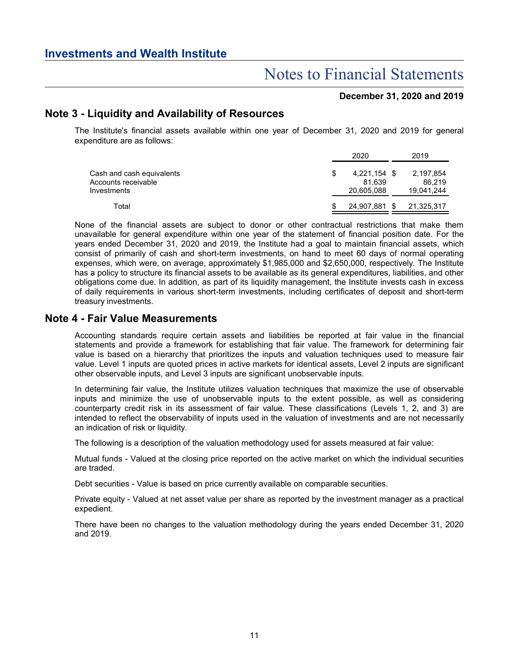## Notes to Financial Statements

#### **December 31, 2020 and 2019**

### **Note 3 - Liquidity and Availability of Resources**

The Institute's financial assets available within one year of December 31, 2020 and 2019 for general expenditure are as follows:

|                                                                 |   | 2020                                 | 2019                              |
|-----------------------------------------------------------------|---|--------------------------------------|-----------------------------------|
| Cash and cash equivalents<br>Accounts receivable<br>Investments | S | 4,221,154 \$<br>81.639<br>20,605,088 | 2,197,854<br>86.219<br>19,041,244 |
| Total                                                           |   | 24,907,881 \$                        | 21.325.317                        |

None of the financial assets are subject to donor or other contractual restrictions that make them unavailable for general expenditure within one year of the statement of financial position date. For the years ended December 31, 2020 and 2019, the Institute had a goal to maintain financial assets, which consist of primarily of cash and short-term investments, on hand to meet 60 days of normal operating expenses, which were, on average, approximately \$1,985,000 and \$2,650,000, respectively. The Institute has a policy to structure its financial assets to be available as its general expenditures, liabilities, and other obligations come due. In addition, as part of its liquidity management, the Institute invests cash in excess of daily requirements in various short-term investments, including certificates of deposit and short-term treasury investments.

### **Note 4 - Fair Value Measurements**

Accounting standards require certain assets and liabilities be reported at fair value in the financial statements and provide a framework for establishing that fair value. The framework for determining fair value is based on a hierarchy that prioritizes the inputs and valuation techniques used to measure fair value. Level 1 inputs are quoted prices in active markets for identical assets, Level 2 inputs are significant other observable inputs, and Level 3 inputs are significant unobservable inputs.

In determining fair value, the Institute utilizes valuation techniques that maximize the use of observable inputs and minimize the use of unobservable inputs to the extent possible, as well as considering counterparty credit risk in its assessment of fair value. These classifications (Levels 1, 2, and 3) are intended to reflect the observability of inputs used in the valuation of investments and are not necessarily an indication of risk or liquidity.

The following is a description of the valuation methodology used for assets measured at fair value:

Mutual funds - Valued at the closing price reported on the active market on which the individual securities are traded.

Debt securities - Value is based on price currently available on comparable securities.

Private equity - Valued at net asset value per share as reported by the investment manager as a practical expedient.

There have been no changes to the valuation methodology during the years ended December 31, 2020 and 2019.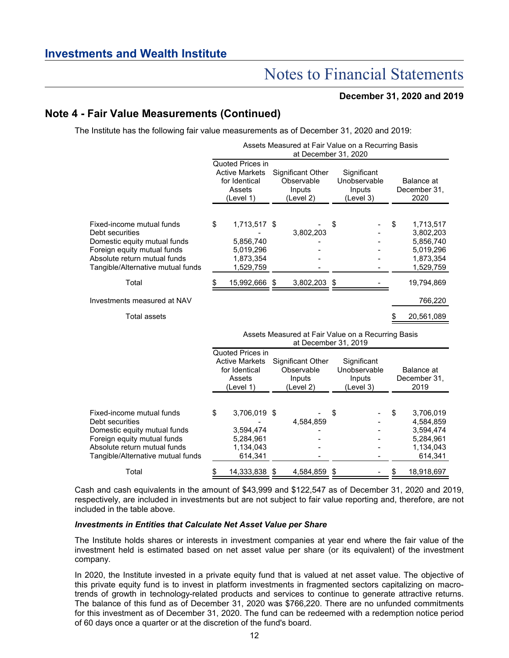#### **December 31, 2020 and 2019**

## **Note 4 - Fair Value Measurements (Continued)**

The Institute has the following fair value measurements as of December 31, 2020 and 2019:

|                                                                                                                                                                                  |                                                                                   | Assets Measured at Fair Value on a Recurring Basis<br>at December 31, 2020 |                                                    |                                                                                  |
|----------------------------------------------------------------------------------------------------------------------------------------------------------------------------------|-----------------------------------------------------------------------------------|----------------------------------------------------------------------------|----------------------------------------------------|----------------------------------------------------------------------------------|
|                                                                                                                                                                                  | Quoted Prices in<br><b>Active Markets</b><br>for Identical<br>Assets<br>(Level 1) | Significant Other<br>Observable<br>Inputs<br>(Level 2)                     | Significant<br>Unobservable<br>Inputs<br>(Level 3) | Balance at<br>December 31,<br>2020                                               |
| Fixed-income mutual funds<br>Debt securities<br>Domestic equity mutual funds<br>Foreign equity mutual funds<br>Absolute return mutual funds<br>Tangible/Alternative mutual funds | \$<br>1,713,517 \$<br>5,856,740<br>5,019,296<br>1,873,354<br>1,529,759            | 3,802,203                                                                  | \$                                                 | \$<br>1,713,517<br>3,802,203<br>5,856,740<br>5,019,296<br>1,873,354<br>1,529,759 |
| Total                                                                                                                                                                            | \$<br>15,992,666 \$                                                               | 3,802,203                                                                  |                                                    | 19,794,869                                                                       |
| Investments measured at NAV                                                                                                                                                      |                                                                                   |                                                                            |                                                    | 766,220                                                                          |
| <b>Total assets</b>                                                                                                                                                              |                                                                                   |                                                                            |                                                    | 20,561,089                                                                       |
|                                                                                                                                                                                  |                                                                                   | at December 31, 2019                                                       | Assets Measured at Fair Value on a Recurring Basis |                                                                                  |
|                                                                                                                                                                                  | Quoted Prices in<br><b>Active Markets</b><br>for Identical<br>Assets<br>(Level 1) | <b>Significant Other</b><br>Observable<br>Inputs<br>(Level 2)              | Significant<br>Unobservable<br>Inputs<br>(Level 3) | Balance at<br>December 31,<br>2019                                               |
| Fixed-income mutual funds<br>Debt securities<br>Domestic equity mutual funds<br>Foreign equity mutual funds<br>Absolute return mutual funds<br>Tangible/Alternative mutual funds | \$<br>3,706,019 \$<br>3,594,474<br>5,284,961<br>1,134,043<br>614,341              | 4,584,859                                                                  | \$                                                 | \$<br>3,706,019<br>4,584,859<br>3,594,474<br>5,284,961<br>1,134,043<br>614,341   |
| Total                                                                                                                                                                            | \$<br>14,333,838                                                                  | \$<br>4,584,859                                                            | \$                                                 | \$<br>18,918,697                                                                 |

Cash and cash equivalents in the amount of \$43,999 and \$122,547 as of December 31, 2020 and 2019, respectively, are included in investments but are not subject to fair value reporting and, therefore, are not included in the table above.

#### *Investments in Entities that Calculate Net Asset Value per Share*

The Institute holds shares or interests in investment companies at year end where the fair value of the investment held is estimated based on net asset value per share (or its equivalent) of the investment company.

In 2020, the Institute invested in a private equity fund that is valued at net asset value. The objective of this private equity fund is to invest in platform investments in fragmented sectors capitalizing on macrotrends of growth in technology-related products and services to continue to generate attractive returns. The balance of this fund as of December 31, 2020 was \$766,220. There are no unfunded commitments for this investment as of December 31, 2020. The fund can be redeemed with a redemption notice period of 60 days once a quarter or at the discretion of the fund's board.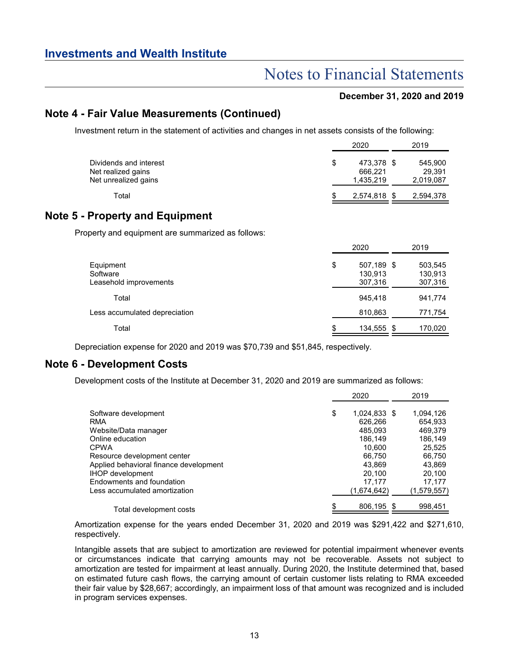## Notes to Financial Statements

#### **December 31, 2020 and 2019**

### **Note 4 - Fair Value Measurements (Continued)**

Investment return in the statement of activities and changes in net assets consists of the following:

|                                                                      |   | 2020                               | 2019                           |  |  |
|----------------------------------------------------------------------|---|------------------------------------|--------------------------------|--|--|
| Dividends and interest<br>Net realized gains<br>Net unrealized gains | S | 473.378 \$<br>666.221<br>1,435,219 | 545,900<br>29.391<br>2,019,087 |  |  |
| Total                                                                |   | 2,574,818 \$                       | 2,594,378                      |  |  |

### **Note 5 - Property and Equipment**

Property and equipment are summarized as follows:

|                                                 | 2020                                   | 2019                          |
|-------------------------------------------------|----------------------------------------|-------------------------------|
| Equipment<br>Software<br>Leasehold improvements | \$<br>507,189 \$<br>130,913<br>307,316 | 503,545<br>130,913<br>307,316 |
| Total                                           | 945.418                                | 941,774                       |
| Less accumulated depreciation                   | 810,863                                | 771,754                       |
| Total                                           | \$<br>134,555 \$                       | 170,020                       |

Depreciation expense for 2020 and 2019 was \$70,739 and \$51,845, respectively.

### **Note 6 - Development Costs**

Development costs of the Institute at December 31, 2020 and 2019 are summarized as follows:

|                                        | 2020               | 2019        |
|----------------------------------------|--------------------|-------------|
| Software development                   | \$<br>1,024,833 \$ | 1,094,126   |
| RMA                                    | 626,266            | 654,933     |
| Website/Data manager                   | 485,093            | 469.379     |
| Online education                       | 186.149            | 186,149     |
| <b>CPWA</b>                            | 10,600             | 25,525      |
| Resource development center            | 66,750             | 66,750      |
| Applied behavioral finance development | 43.869             | 43,869      |
| <b>IHOP</b> development                | 20.100             | 20,100      |
| Endowments and foundation              | 17.177             | 17,177      |
| Less accumulated amortization          | (1,674,642)        | (1,579,557) |
| Total development costs                | \$<br>806,195 \$   | 998,451     |

Amortization expense for the years ended December 31, 2020 and 2019 was \$291,422 and \$271,610, respectively.

Intangible assets that are subject to amortization are reviewed for potential impairment whenever events or circumstances indicate that carrying amounts may not be recoverable. Assets not subject to amortization are tested for impairment at least annually. During 2020, the Institute determined that, based on estimated future cash flows, the carrying amount of certain customer lists relating to RMA exceeded their fair value by \$28,667; accordingly, an impairment loss of that amount was recognized and is included in program services expenses.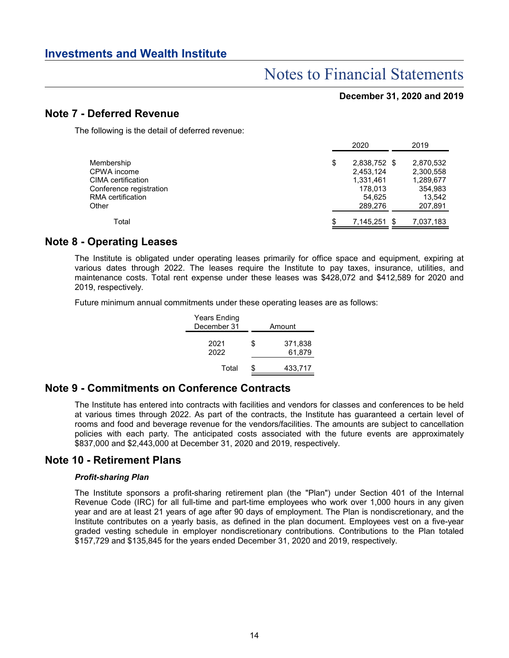#### **December 31, 2020 and 2019**

### **Note 7 - Deferred Revenue**

The following is the detail of deferred revenue:

|                         | 2020               | 2019      |
|-------------------------|--------------------|-----------|
| Membership              | \$<br>2,838,752 \$ | 2.870.532 |
| CPWA income             | 2,453,124          | 2,300,558 |
| CIMA certification      | 1,331,461          | 1,289,677 |
| Conference registration | 178.013            | 354,983   |
| RMA certification       | 54.625             | 13.542    |
| Other                   | 289.276            | 207,891   |
| Total                   | \$<br>7,145,251 \$ | 7,037,183 |

### **Note 8 - Operating Leases**

The Institute is obligated under operating leases primarily for office space and equipment, expiring at various dates through 2022. The leases require the Institute to pay taxes, insurance, utilities, and maintenance costs. Total rent expense under these leases was \$428,072 and \$412,589 for 2020 and 2019, respectively.

Future minimum annual commitments under these operating leases are as follows:

| Years Ending<br>December 31 | Amount |                   |  |  |  |  |  |
|-----------------------------|--------|-------------------|--|--|--|--|--|
| 2021<br>2022                | \$     | 371,838<br>61,879 |  |  |  |  |  |
| Total                       |        | 433,717           |  |  |  |  |  |

### **Note 9 - Commitments on Conference Contracts**

The Institute has entered into contracts with facilities and vendors for classes and conferences to be held at various times through 2022. As part of the contracts, the Institute has guaranteed a certain level of rooms and food and beverage revenue for the vendors/facilities. The amounts are subject to cancellation policies with each party. The anticipated costs associated with the future events are approximately \$837,000 and \$2,443,000 at December 31, 2020 and 2019, respectively.

### **Note 10 - Retirement Plans**

#### *Profit-sharing Plan*

The Institute sponsors a profit-sharing retirement plan (the "Plan") under Section 401 of the Internal Revenue Code (IRC) for all full-time and part-time employees who work over 1,000 hours in any given year and are at least 21 years of age after 90 days of employment. The Plan is nondiscretionary, and the Institute contributes on a yearly basis, as defined in the plan document. Employees vest on a five-year graded vesting schedule in employer nondiscretionary contributions. Contributions to the Plan totaled \$157,729 and \$135,845 for the years ended December 31, 2020 and 2019, respectively.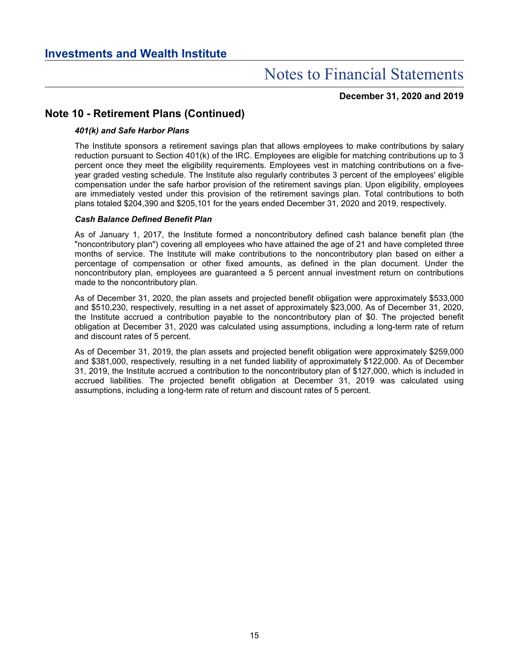#### **December 31, 2020 and 2019**

### **Note 10 - Retirement Plans (Continued)**

#### *401(k) and Safe Harbor Plans*

The Institute sponsors a retirement savings plan that allows employees to make contributions by salary reduction pursuant to Section 401(k) of the IRC. Employees are eligible for matching contributions up to 3 percent once they meet the eligibility requirements. Employees vest in matching contributions on a fiveyear graded vesting schedule. The Institute also regularly contributes 3 percent of the employees' eligible compensation under the safe harbor provision of the retirement savings plan. Upon eligibility, employees are immediately vested under this provision of the retirement savings plan. Total contributions to both plans totaled \$204,390 and \$205,101 for the years ended December 31, 2020 and 2019, respectively.

#### *Cash Balance Defined Benefit Plan*

As of January 1, 2017, the Institute formed a noncontributory defined cash balance benefit plan (the "noncontributory plan") covering all employees who have attained the age of 21 and have completed three months of service. The Institute will make contributions to the noncontributory plan based on either a percentage of compensation or other fixed amounts, as defined in the plan document. Under the noncontributory plan, employees are guaranteed a 5 percent annual investment return on contributions made to the noncontributory plan.

As of December 31, 2020, the plan assets and projected benefit obligation were approximately \$533,000 and \$510,230, respectively, resulting in a net asset of approximately \$23,000. As of December 31, 2020, the Institute accrued a contribution payable to the noncontributory plan of \$0. The projected benefit obligation at December 31, 2020 was calculated using assumptions, including a long-term rate of return and discount rates of 5 percent.

As of December 31, 2019, the plan assets and projected benefit obligation were approximately \$259,000 and \$381,000, respectively, resulting in a net funded liability of approximately \$122,000. As of December 31, 2019, the Institute accrued a contribution to the noncontributory plan of \$127,000, which is included in accrued liabilities. The projected benefit obligation at December 31, 2019 was calculated using assumptions, including a long-term rate of return and discount rates of 5 percent.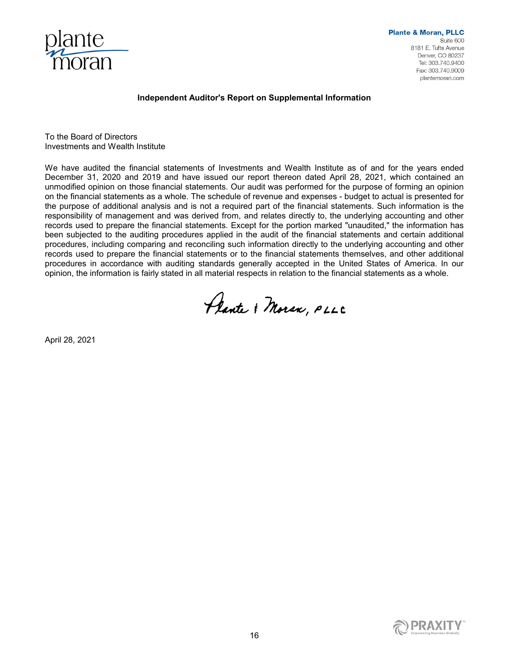

**Plante & Moran, PLLC** Suite 600 8181 E. Tufts Avenue Denver, CO 80237 Tel: 303.740.9400 Fax: 303.740.9009 plantemoran.com

#### **Independent Auditor's Report on Supplemental Information**

To the Board of Directors Investments and Wealth Institute

We have audited the financial statements of Investments and Wealth Institute as of and for the years ended December 31, 2020 and 2019 and have issued our report thereon dated April 28, 2021, which contained an unmodified opinion on those financial statements. Our audit was performed for the purpose of forming an opinion on the financial statements as a whole. The schedule of revenue and expenses - budget to actual is presented for the purpose of additional analysis and is not a required part of the financial statements. Such information is the responsibility of management and was derived from, and relates directly to, the underlying accounting and other records used to prepare the financial statements. Except for the portion marked "unaudited," the information has been subjected to the auditing procedures applied in the audit of the financial statements and certain additional procedures, including comparing and reconciling such information directly to the underlying accounting and other records used to prepare the financial statements or to the financial statements themselves, and other additional procedures in accordance with auditing standards generally accepted in the United States of America. In our opinion, the information is fairly stated in all material respects in relation to the financial statements as a whole.

Plante & Moran, PLLC

April 28, 2021

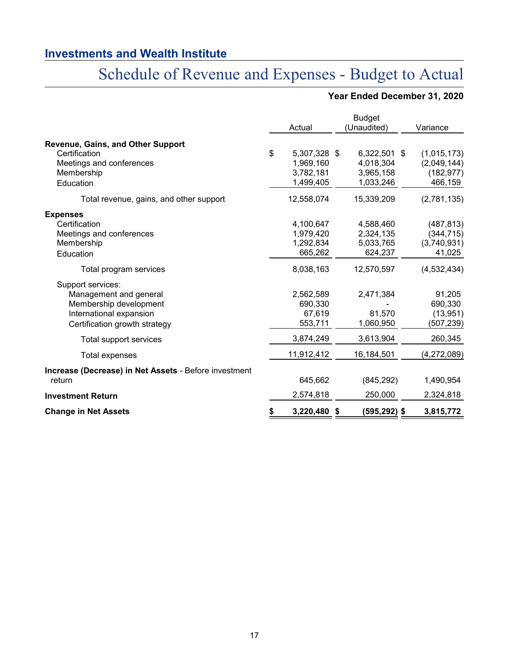# Schedule of Revenue and Expenses - Budget to Actual

|                                                                                                                                   | Actual                                         |    | <b>Budget</b><br>(Unaudited)                   | Variance                                          |
|-----------------------------------------------------------------------------------------------------------------------------------|------------------------------------------------|----|------------------------------------------------|---------------------------------------------------|
| <b>Revenue, Gains, and Other Support</b><br>Certification<br>Meetings and conferences                                             | \$<br>5,307,328 \$<br>1,969,160                |    | 6,322,501 \$<br>4,018,304                      | (1,015,173)<br>(2,049,144)                        |
| Membership<br>Education                                                                                                           | 3,782,181<br>1,499,405                         |    | 3,965,158<br>1,033,246                         | (182, 977)<br>466,159                             |
| Total revenue, gains, and other support                                                                                           | 12,558,074                                     |    | 15,339,209                                     | (2,781,135)                                       |
| <b>Expenses</b><br>Certification<br>Meetings and conferences<br>Membership<br>Education                                           | 4,100,647<br>1,979,420<br>1,292,834<br>665,262 |    | 4,588,460<br>2,324,135<br>5,033,765<br>624,237 | (487, 813)<br>(344, 715)<br>(3,740,931)<br>41,025 |
| Total program services                                                                                                            | 8,038,163                                      |    | 12,570,597                                     | (4,532,434)                                       |
| Support services:<br>Management and general<br>Membership development<br>International expansion<br>Certification growth strategy | 2,562,589<br>690,330<br>67,619<br>553,711      |    | 2,471,384<br>81,570<br>1,060,950               | 91,205<br>690,330<br>(13, 951)<br>(507,239)       |
| Total support services                                                                                                            | 3,874,249                                      |    | 3,613,904                                      | 260,345                                           |
| <b>Total expenses</b>                                                                                                             | 11,912,412                                     |    | 16,184,501                                     | (4,272,089)                                       |
| <b>Increase (Decrease) in Net Assets - Before investment</b><br>return                                                            | 645,662                                        |    | (845, 292)                                     | 1,490,954                                         |
| <b>Investment Return</b>                                                                                                          | 2,574,818                                      |    | 250,000                                        | 2,324,818                                         |
| <b>Change in Net Assets</b>                                                                                                       | 3,220,480                                      | -5 | (595,292) \$                                   | 3,815,772                                         |